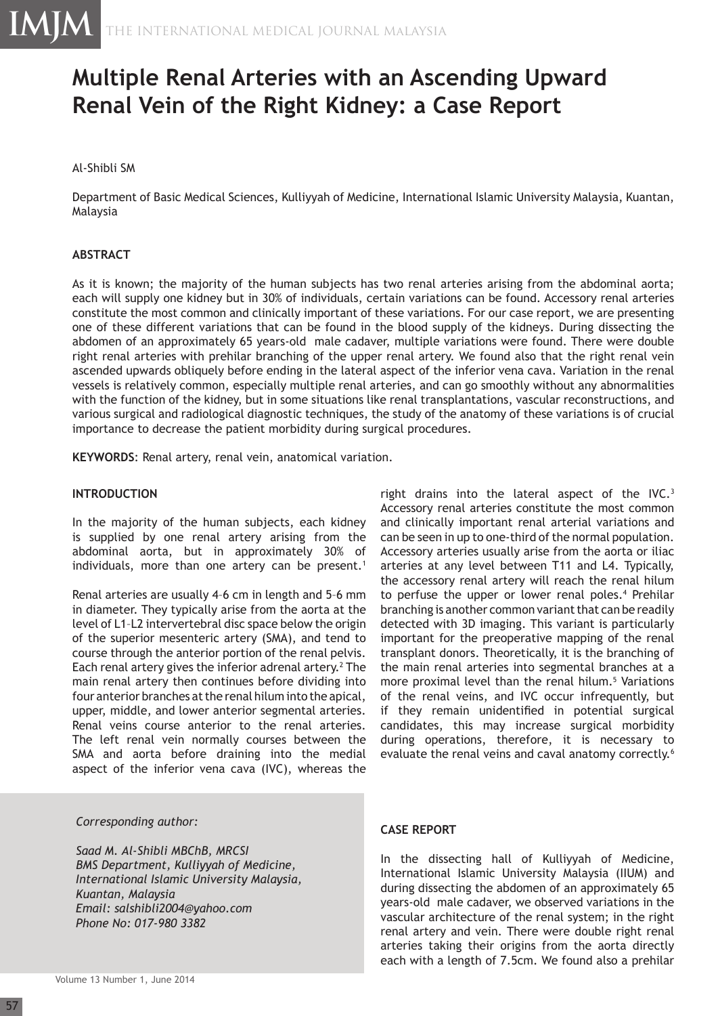# **Multiple Renal Arteries with an Ascending Upward Renal Vein of the Right Kidney: a Case Report**

## Al-Shibli SM

Department of Basic Medical Sciences, Kulliyyah of Medicine, International Islamic University Malaysia, Kuantan, Malaysia

### **ABSTRACT**

As it is known; the majority of the human subjects has two renal arteries arising from the abdominal aorta; each will supply one kidney but in 30% of individuals, certain variations can be found. Accessory renal arteries constitute the most common and clinically important of these variations. For our case report, we are presenting one of these different variations that can be found in the blood supply of the kidneys. During dissecting the abdomen of an approximately 65 years-old male cadaver, multiple variations were found. There were double right renal arteries with prehilar branching of the upper renal artery. We found also that the right renal vein ascended upwards obliquely before ending in the lateral aspect of the inferior vena cava. Variation in the renal vessels is relatively common, especially multiple renal arteries, and can go smoothly without any abnormalities with the function of the kidney, but in some situations like renal transplantations, vascular reconstructions, and various surgical and radiological diagnostic techniques, the study of the anatomy of these variations is of crucial importance to decrease the patient morbidity during surgical procedures.

**KEYWORDS**: Renal artery, renal vein, anatomical variation.

#### **INTRODUCTION**

In the majority of the human subjects, each kidney is supplied by one renal artery arising from the abdominal aorta, but in approximately 30% of individuals, more than one artery can be present.<sup>1</sup>

Renal arteries are usually 4–6 cm in length and 5–6 mm in diameter. They typically arise from the aorta at the level of L1–L2 intervertebral disc space below the origin of the superior mesenteric artery (SMA), and tend to course through the anterior portion of the renal pelvis. Each renal artery gives the inferior adrenal artery.<sup>2</sup> The main renal artery then continues before dividing into four anterior branches at the renal hilum into the apical, upper, middle, and lower anterior segmental arteries. Renal veins course anterior to the renal arteries. The left renal vein normally courses between the SMA and aorta before draining into the medial aspect of the inferior vena cava (IVC), whereas the

#### *Corresponding author:*

*Saad M. Al-Shibli MBChB, MRCSI BMS Department, Kulliyyah of Medicine, International Islamic University Malaysia, Kuantan, Malaysia Email: salshibli2004@yahoo.com Phone No: 017-980 3382*

right drains into the lateral aspect of the IVC.<sup>3</sup> Accessory renal arteries constitute the most common and clinically important renal arterial variations and can be seen in up to one-third of the normal population. Accessory arteries usually arise from the aorta or iliac arteries at any level between T11 and L4. Typically, the accessory renal artery will reach the renal hilum to perfuse the upper or lower renal poles.<sup>4</sup> Prehilar branching is another common variant that can be readily detected with 3D imaging. This variant is particularly important for the preoperative mapping of the renal transplant donors. Theoretically, it is the branching of the main renal arteries into segmental branches at a more proximal level than the renal hilum.<sup>5</sup> Variations of the renal veins, and IVC occur infrequently, but if they remain unidentified in potential surgical candidates, this may increase surgical morbidity during operations, therefore, it is necessary to evaluate the renal veins and caval anatomy correctly.<sup>6</sup>

#### **CASE REPORT**

In the dissecting hall of Kulliyyah of Medicine, International Islamic University Malaysia (IIUM) and during dissecting the abdomen of an approximately 65 years-old male cadaver, we observed variations in the vascular architecture of the renal system; in the right renal artery and vein. There were double right renal arteries taking their origins from the aorta directly each with a length of 7.5cm. We found also a prehilar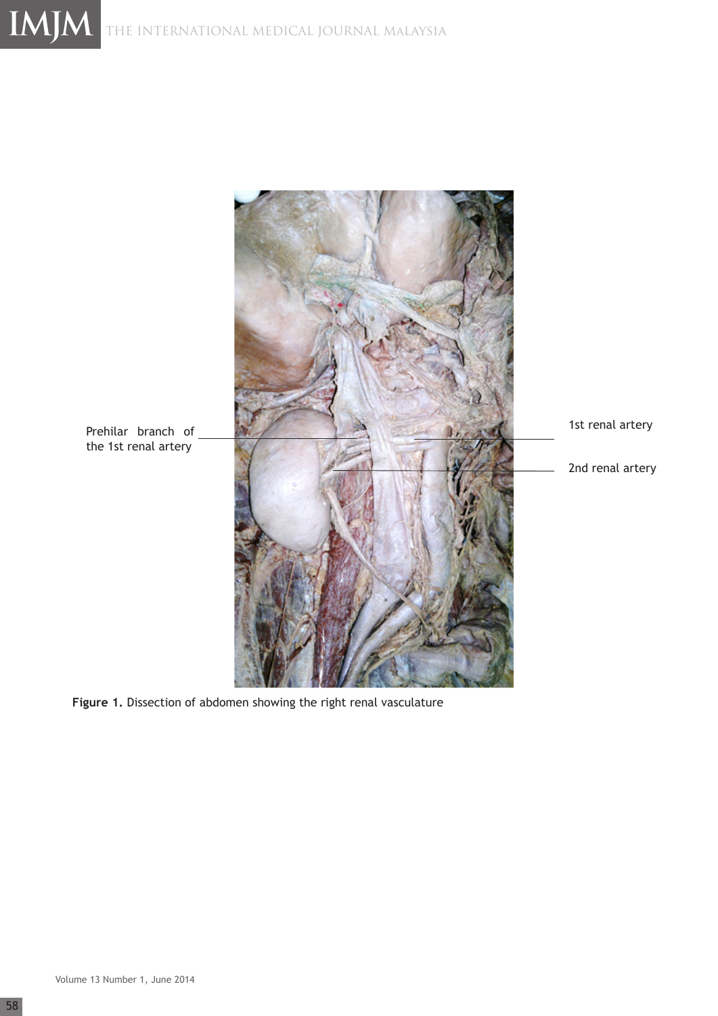

**Figure 1.** Dissection of abdomen showing the right renal vasculature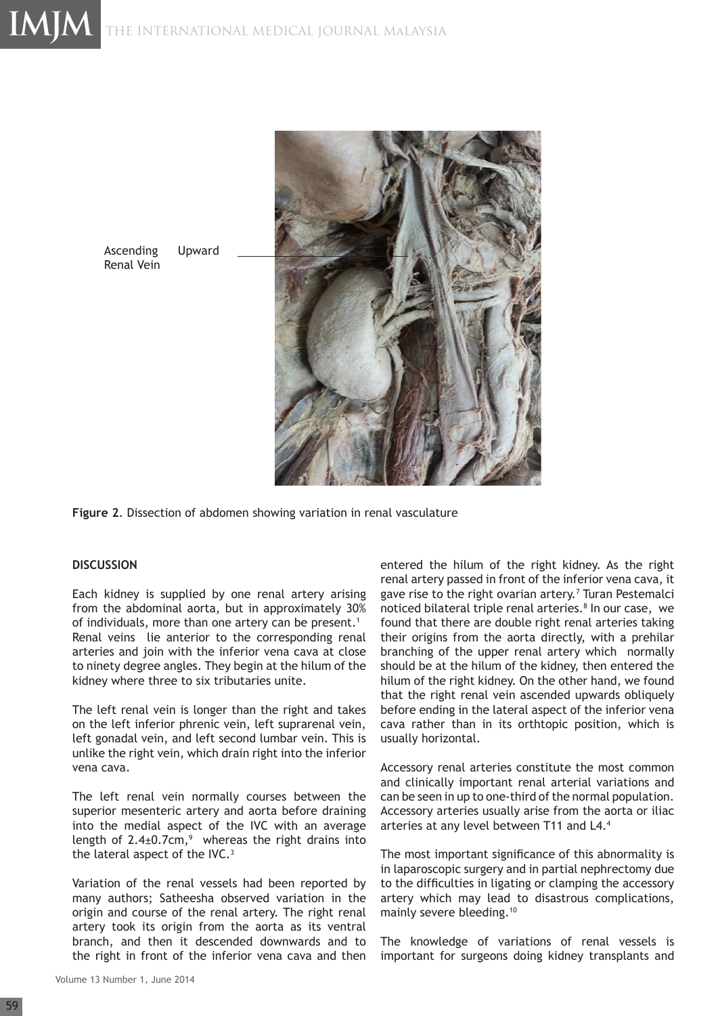

Ascending Upward Renal Vein

**Figure 2**. Dissection of abdomen showing variation in renal vasculature

#### **DISCUSSION**

Each kidney is supplied by one renal artery arising from the abdominal aorta, but in approximately 30% of individuals, more than one artery can be present.<sup>1</sup> Renal veins lie anterior to the corresponding renal arteries and join with the inferior vena cava at close to ninety degree angles. They begin at the hilum of the kidney where three to six tributaries unite.

The left renal vein is longer than the right and takes on the left inferior phrenic vein, left suprarenal vein, left gonadal vein, and left second lumbar vein. This is unlike the right vein, which drain right into the inferior vena cava.

The left renal vein normally courses between the superior mesenteric artery and aorta before draining into the medial aspect of the IVC with an average length of  $2.4 \pm 0.7$ cm,<sup>9</sup> whereas the right drains into the lateral aspect of the IVC.<sup>3</sup>

Variation of the renal vessels had been reported by many authors; Satheesha observed variation in the origin and course of the renal artery. The right renal artery took its origin from the aorta as its ventral branch, and then it descended downwards and to the right in front of the inferior vena cava and then entered the hilum of the right kidney. As the right renal artery passed in front of the inferior vena cava, it gave rise to the right ovarian artery.<sup>7</sup> Turan Pestemalci noticed bilateral triple renal arteries.<sup>8</sup> In our case, we found that there are double right renal arteries taking their origins from the aorta directly, with a prehilar branching of the upper renal artery which normally should be at the hilum of the kidney, then entered the hilum of the right kidney. On the other hand, we found that the right renal vein ascended upwards obliquely before ending in the lateral aspect of the inferior vena cava rather than in its orthtopic position, which is usually horizontal.

Accessory renal arteries constitute the most common and clinically important renal arterial variations and can be seen in up to one-third of the normal population. Accessory arteries usually arise from the aorta or iliac arteries at any level between T11 and L4.4

The most important significance of this abnormality is in laparoscopic surgery and in partial nephrectomy due to the difficulties in ligating or clamping the accessory artery which may lead to disastrous complications, mainly severe bleeding.10

The knowledge of variations of renal vessels is important for surgeons doing kidney transplants and